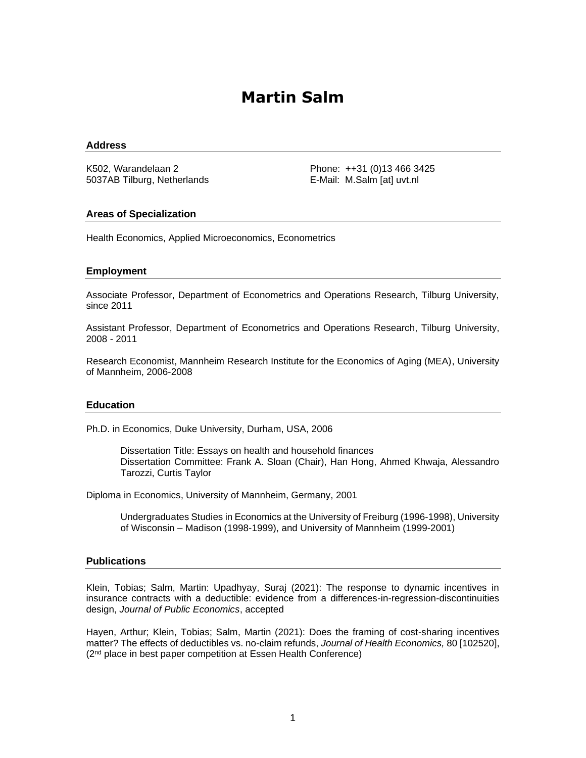# **Martin Salm**

#### **Address**

K502, Warandelaan 2 5037AB Tilburg, Netherlands Phone: ++31 (0)13 466 3425 E-Mail: M.Salm [at] uvt.nl

#### **Areas of Specialization**

Health Economics, Applied Microeconomics, Econometrics

#### **Employment**

Associate Professor, Department of Econometrics and Operations Research, Tilburg University, since 2011

Assistant Professor, Department of Econometrics and Operations Research, Tilburg University, 2008 - 2011

Research Economist, Mannheim Research Institute for the Economics of Aging (MEA), University of Mannheim, 2006-2008

#### **Education**

Ph.D. in Economics, Duke University, Durham, USA, 2006

Dissertation Title: Essays on health and household finances Dissertation Committee: Frank A. Sloan (Chair), Han Hong, Ahmed Khwaja, Alessandro Tarozzi, Curtis Taylor

Diploma in Economics, University of Mannheim, Germany, 2001

Undergraduates Studies in Economics at the University of Freiburg (1996-1998), University of Wisconsin – Madison (1998-1999), and University of Mannheim (1999-2001)

#### **Publications**

Klein, Tobias; Salm, Martin: Upadhyay, Suraj (2021): The response to dynamic incentives in insurance contracts with a deductible: evidence from a differences-in-regression-discontinuities design, *Journal of Public Economics*, accepted

Hayen, Arthur; Klein, Tobias; Salm, Martin (2021): Does the framing of cost-sharing incentives matter? The effects of deductibles vs. no-claim refunds, *Journal of Health Economics,* 80 [102520], (2<sup>nd</sup> place in best paper competition at Essen Health Conference)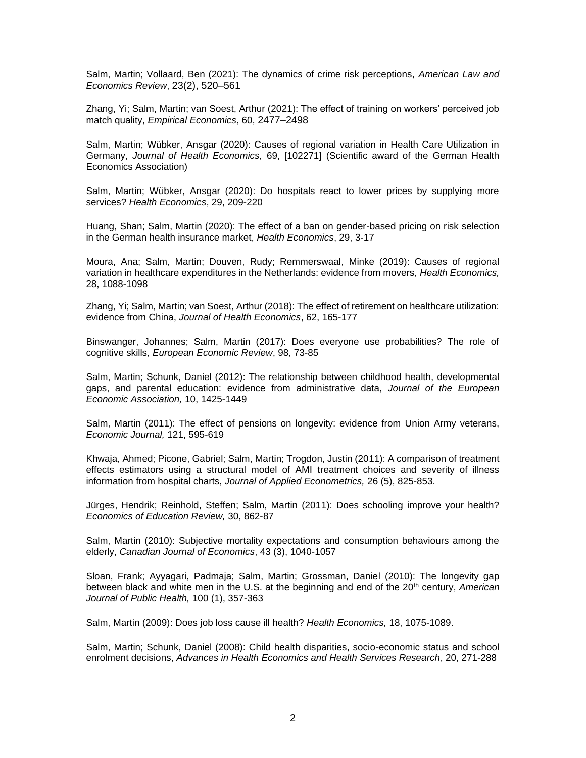Salm, Martin; Vollaard, Ben (2021): The dynamics of crime risk perceptions, *American Law and Economics Review*, 23(2), 520–561

Zhang, Yi; Salm, Martin; van Soest, Arthur (2021): The effect of training on workers' perceived job match quality, *Empirical Economics*, 60, 2477–2498

Salm, Martin; Wübker, Ansgar (2020): Causes of regional variation in Health Care Utilization in Germany, *Journal of Health Economics,* 69, [102271] (Scientific award of the German Health Economics Association)

Salm, Martin; Wübker, Ansgar (2020): Do hospitals react to lower prices by supplying more services? *Health Economics*, 29, 209-220

Huang, Shan; Salm, Martin (2020): The effect of a ban on gender-based pricing on risk selection in the German health insurance market, *Health Economics*, 29, 3-17

Moura, Ana; Salm, Martin; Douven, Rudy; Remmerswaal, Minke (2019): Causes of regional variation in healthcare expenditures in the Netherlands: evidence from movers, *Health Economics,*  28, 1088-1098

Zhang, Yi; Salm, Martin; van Soest, Arthur (2018): The effect of retirement on healthcare utilization: evidence from China, *Journal of Health Economics*, 62, 165-177

Binswanger, Johannes; Salm, Martin (2017): Does everyone use probabilities? The role of cognitive skills, *European Economic Review*, 98, 73-85

Salm, Martin; Schunk, Daniel (2012): The relationship between childhood health, developmental gaps, and parental education: evidence from administrative data, *Journal of the European Economic Association,* 10, 1425-1449

Salm, Martin (2011): The effect of pensions on longevity: evidence from Union Army veterans, *Economic Journal,* 121, 595-619

Khwaja, Ahmed; Picone, Gabriel; Salm, Martin; Trogdon, Justin (2011): A comparison of treatment effects estimators using a structural model of AMI treatment choices and severity of illness information from hospital charts, *Journal of Applied Econometrics,* 26 (5), 825-853.

Jürges, Hendrik; Reinhold, Steffen; Salm, Martin (2011): Does schooling improve your health? *Economics of Education Review,* 30, 862-87

Salm, Martin (2010): Subjective mortality expectations and consumption behaviours among the elderly, *Canadian Journal of Economics*, 43 (3), 1040-1057

Sloan, Frank; Ayyagari, Padmaja; Salm, Martin; Grossman, Daniel (2010): The longevity gap between black and white men in the U.S. at the beginning and end of the 20<sup>th</sup> century, *American Journal of Public Health,* 100 (1), 357-363

Salm, Martin (2009): Does job loss cause ill health? *Health Economics,* 18, 1075-1089.

Salm, Martin; Schunk, Daniel (2008): Child health disparities, socio-economic status and school enrolment decisions, *Advances in Health Economics and Health Services Research*, 20, 271-288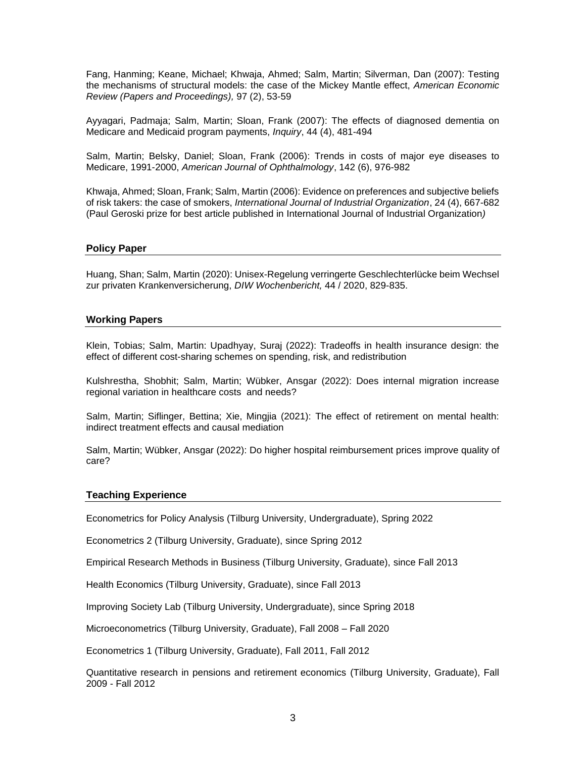Fang, Hanming; Keane, Michael; Khwaja, Ahmed; Salm, Martin; Silverman, Dan (2007): Testing the mechanisms of structural models: the case of the Mickey Mantle effect, *American Economic Review (Papers and Proceedings),* 97 (2), 53-59

Ayyagari, Padmaja; Salm, Martin; Sloan, Frank (2007): The effects of diagnosed dementia on Medicare and Medicaid program payments, *Inquiry*, 44 (4), 481-494

Salm, Martin; Belsky, Daniel; Sloan, Frank (2006): Trends in costs of major eye diseases to Medicare, 1991-2000, *American Journal of Ophthalmology*, 142 (6), 976-982

Khwaja, Ahmed; Sloan, Frank; Salm, Martin (2006): Evidence on preferences and subjective beliefs of risk takers: the case of smokers, *International Journal of Industrial Organization*, 24 (4), 667-682 (Paul Geroski prize for best article published in International Journal of Industrial Organization*)*

#### **Policy Paper**

Huang, Shan; Salm, Martin (2020): Unisex-Regelung verringerte Geschlechterlücke beim Wechsel zur privaten Krankenversicherung, *DIW Wochenbericht,* 44 / 2020, 829-835.

#### **Working Papers**

Klein, Tobias; Salm, Martin: Upadhyay, Suraj (2022): Tradeoffs in health insurance design: the effect of different cost-sharing schemes on spending, risk, and redistribution

Kulshrestha, Shobhit; Salm, Martin; Wübker, Ansgar (2022): Does internal migration increase regional variation in healthcare costs and needs?

Salm, Martin; Siflinger, Bettina; Xie, Mingjia (2021): The effect of retirement on mental health: indirect treatment effects and causal mediation

Salm, Martin; Wübker, Ansgar (2022): Do higher hospital reimbursement prices improve quality of care?

#### **Teaching Experience**

Econometrics for Policy Analysis (Tilburg University, Undergraduate), Spring 2022

Econometrics 2 (Tilburg University, Graduate), since Spring 2012

Empirical Research Methods in Business (Tilburg University, Graduate), since Fall 2013

Health Economics (Tilburg University, Graduate), since Fall 2013

Improving Society Lab (Tilburg University, Undergraduate), since Spring 2018

Microeconometrics (Tilburg University, Graduate), Fall 2008 – Fall 2020

Econometrics 1 (Tilburg University, Graduate), Fall 2011, Fall 2012

Quantitative research in pensions and retirement economics (Tilburg University, Graduate), Fall 2009 - Fall 2012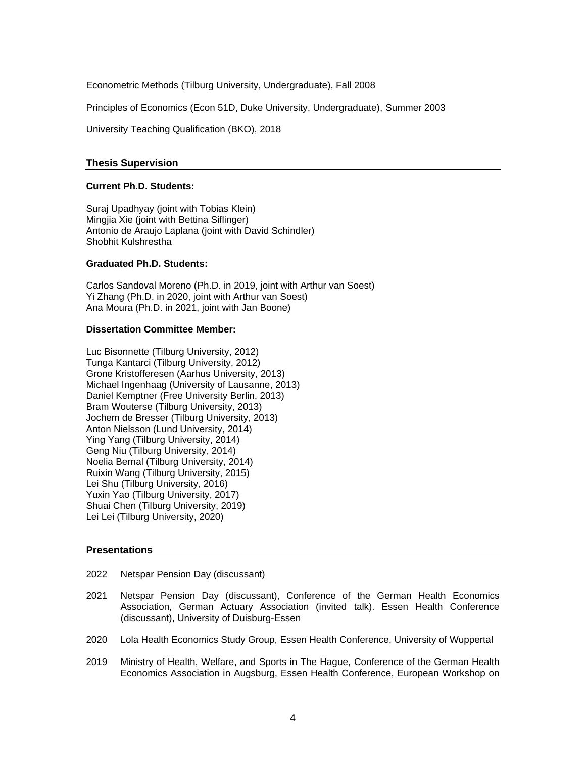Econometric Methods (Tilburg University, Undergraduate), Fall 2008

Principles of Economics (Econ 51D, Duke University, Undergraduate), Summer 2003

University Teaching Qualification (BKO), 2018

#### **Thesis Supervision**

## **Current Ph.D. Students:**

Suraj Upadhyay (joint with Tobias Klein) Mingjia Xie (joint with Bettina Siflinger) Antonio de Araujo Laplana (joint with David Schindler) Shobhit Kulshrestha

# **Graduated Ph.D. Students:**

Carlos Sandoval Moreno (Ph.D. in 2019, joint with Arthur van Soest) Yi Zhang (Ph.D. in 2020, joint with Arthur van Soest) Ana Moura (Ph.D. in 2021, joint with Jan Boone)

#### **Dissertation Committee Member:**

Luc Bisonnette (Tilburg University, 2012) Tunga Kantarci (Tilburg University, 2012) Grone Kristofferesen (Aarhus University, 2013) Michael Ingenhaag (University of Lausanne, 2013) Daniel Kemptner (Free University Berlin, 2013) Bram Wouterse (Tilburg University, 2013) Jochem de Bresser (Tilburg University, 2013) Anton Nielsson (Lund University, 2014) Ying Yang (Tilburg University, 2014) Geng Niu (Tilburg University, 2014) Noelia Bernal (Tilburg University, 2014) Ruixin Wang (Tilburg University, 2015) Lei Shu (Tilburg University, 2016) Yuxin Yao (Tilburg University, 2017) Shuai Chen (Tilburg University, 2019) Lei Lei (Tilburg University, 2020)

## **Presentations**

- 2022 Netspar Pension Day (discussant)
- 2021 Netspar Pension Day (discussant), Conference of the German Health Economics Association, German Actuary Association (invited talk). Essen Health Conference (discussant), University of Duisburg-Essen
- 2020 Lola Health Economics Study Group, Essen Health Conference, University of Wuppertal
- 2019 Ministry of Health, Welfare, and Sports in The Hague, Conference of the German Health Economics Association in Augsburg, Essen Health Conference, European Workshop on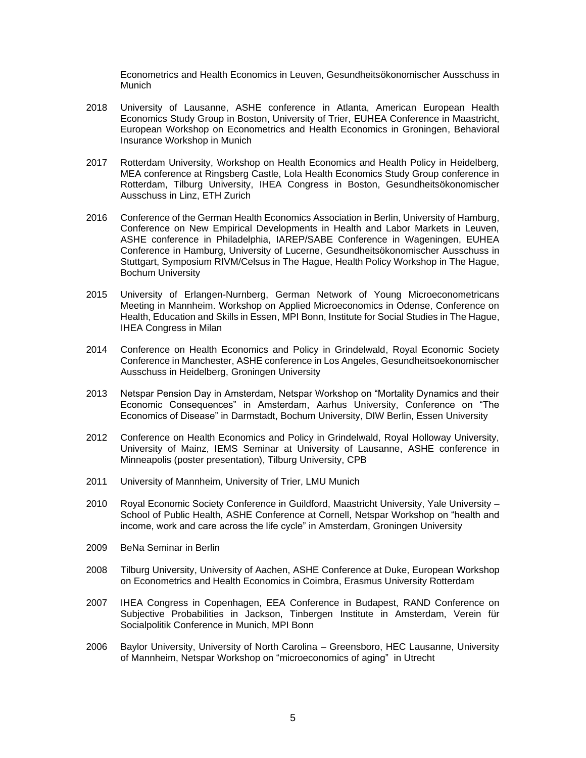Econometrics and Health Economics in Leuven, Gesundheitsökonomischer Ausschuss in **Munich** 

- 2018 University of Lausanne, ASHE conference in Atlanta, American European Health Economics Study Group in Boston, University of Trier, EUHEA Conference in Maastricht, European Workshop on Econometrics and Health Economics in Groningen, Behavioral Insurance Workshop in Munich
- 2017 Rotterdam University, Workshop on Health Economics and Health Policy in Heidelberg, MEA conference at Ringsberg Castle, Lola Health Economics Study Group conference in Rotterdam, Tilburg University, IHEA Congress in Boston, Gesundheitsökonomischer Ausschuss in Linz, ETH Zurich
- 2016 Conference of the German Health Economics Association in Berlin, University of Hamburg, Conference on New Empirical Developments in Health and Labor Markets in Leuven, ASHE conference in Philadelphia, IAREP/SABE Conference in Wageningen, EUHEA Conference in Hamburg, University of Lucerne, Gesundheitsökonomischer Ausschuss in Stuttgart, Symposium RIVM/Celsus in The Hague, Health Policy Workshop in The Hague, Bochum University
- 2015 University of Erlangen-Nurnberg, German Network of Young Microeconometricans Meeting in Mannheim. Workshop on Applied Microeconomics in Odense, Conference on Health, Education and Skills in Essen, MPI Bonn, Institute for Social Studies in The Hague, IHEA Congress in Milan
- 2014 Conference on Health Economics and Policy in Grindelwald, Royal Economic Society Conference in Manchester, ASHE conference in Los Angeles, Gesundheitsoekonomischer Ausschuss in Heidelberg, Groningen University
- 2013 Netspar Pension Day in Amsterdam, Netspar Workshop on "Mortality Dynamics and their Economic Consequences" in Amsterdam, Aarhus University, Conference on "The Economics of Disease" in Darmstadt, Bochum University, DIW Berlin, Essen University
- 2012 Conference on Health Economics and Policy in Grindelwald, Royal Holloway University, University of Mainz, IEMS Seminar at University of Lausanne, ASHE conference in Minneapolis (poster presentation), Tilburg University, CPB
- 2011 University of Mannheim, University of Trier, LMU Munich
- 2010 Royal Economic Society Conference in Guildford, Maastricht University, Yale University School of Public Health, ASHE Conference at Cornell, Netspar Workshop on "health and income, work and care across the life cycle" in Amsterdam, Groningen University
- 2009 BeNa Seminar in Berlin
- 2008 Tilburg University, University of Aachen, ASHE Conference at Duke, European Workshop on Econometrics and Health Economics in Coimbra, Erasmus University Rotterdam
- 2007 IHEA Congress in Copenhagen, EEA Conference in Budapest, RAND Conference on Subjective Probabilities in Jackson, Tinbergen Institute in Amsterdam, Verein für Socialpolitik Conference in Munich, MPI Bonn
- 2006 Baylor University, University of North Carolina Greensboro, HEC Lausanne, University of Mannheim, Netspar Workshop on "microeconomics of aging" in Utrecht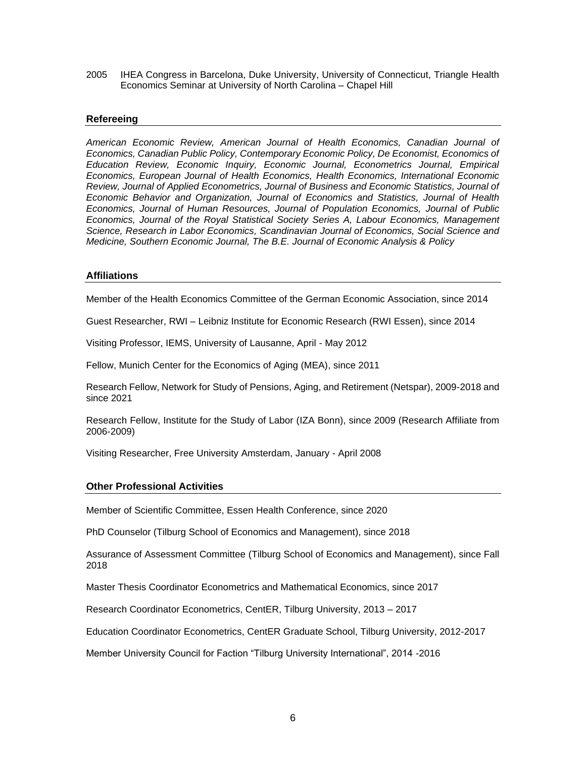2005 IHEA Congress in Barcelona, Duke University, University of Connecticut, Triangle Health Economics Seminar at University of North Carolina – Chapel Hill

# **Refereeing**

*American Economic Review, American Journal of Health Economics, Canadian Journal of Economics, Canadian Public Policy, Contemporary Economic Policy, De Economist, Economics of Education Review, Economic Inquiry, Economic Journal, Econometrics Journal, Empirical Economics, European Journal of Health Economics, Health Economics, International Economic Review, Journal of Applied Econometrics, Journal of Business and Economic Statistics, Journal of Economic Behavior and Organization, Journal of Economics and Statistics, Journal of Health Economics, Journal of Human Resources, Journal of Population Economics, Journal of Public Economics, Journal of the Royal Statistical Society Series A, Labour Economics, Management Science, Research in Labor Economics, Scandinavian Journal of Economics, Social Science and Medicine, Southern Economic Journal, The B.E. Journal of Economic Analysis & Policy* 

## **Affiliations**

Member of the Health Economics Committee of the German Economic Association, since 2014

Guest Researcher, RWI – Leibniz Institute for Economic Research (RWI Essen), since 2014

Visiting Professor, IEMS, University of Lausanne, April - May 2012

Fellow, Munich Center for the Economics of Aging (MEA), since 2011

Research Fellow, Network for Study of Pensions, Aging, and Retirement (Netspar), 2009-2018 and since 2021

Research Fellow, Institute for the Study of Labor (IZA Bonn), since 2009 (Research Affiliate from 2006-2009)

Visiting Researcher, Free University Amsterdam, January - April 2008

# **Other Professional Activities**

Member of Scientific Committee, Essen Health Conference, since 2020

PhD Counselor (Tilburg School of Economics and Management), since 2018

Assurance of Assessment Committee (Tilburg School of Economics and Management), since Fall 2018

Master Thesis Coordinator Econometrics and Mathematical Economics, since 2017

Research Coordinator Econometrics, CentER, Tilburg University, 2013 – 2017

Education Coordinator Econometrics, CentER Graduate School, Tilburg University, 2012-2017

Member University Council for Faction "Tilburg University International", 2014 -2016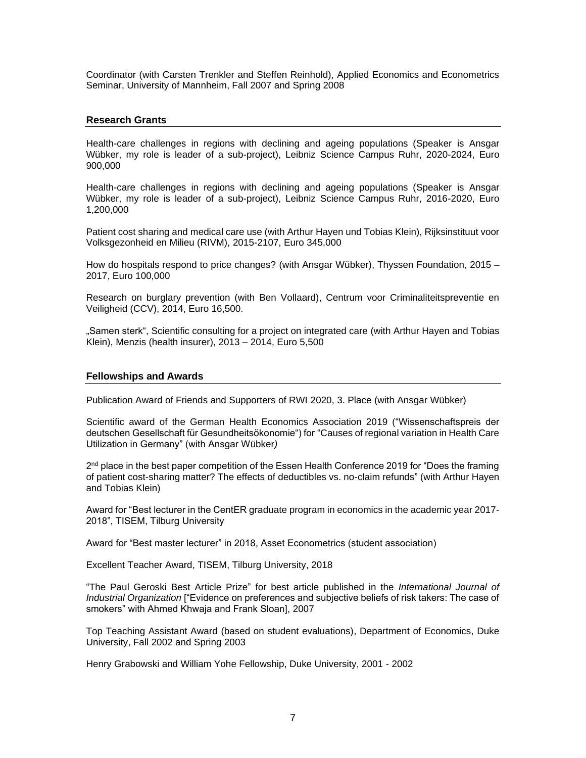Coordinator (with Carsten Trenkler and Steffen Reinhold), Applied Economics and Econometrics Seminar, University of Mannheim, Fall 2007 and Spring 2008

## **Research Grants**

Health-care challenges in regions with declining and ageing populations (Speaker is Ansgar Wübker, my role is leader of a sub-project), Leibniz Science Campus Ruhr, 2020-2024, Euro 900,000

Health-care challenges in regions with declining and ageing populations (Speaker is Ansgar Wübker, my role is leader of a sub-project), Leibniz Science Campus Ruhr, 2016-2020, Euro 1,200,000

Patient cost sharing and medical care use (with Arthur Hayen und Tobias Klein), Rijksinstituut voor Volksgezonheid en Milieu (RIVM), 2015-2107, Euro 345,000

How do hospitals respond to price changes? (with Ansgar Wübker), Thyssen Foundation, 2015 – 2017, Euro 100,000

Research on burglary prevention (with Ben Vollaard), Centrum voor Criminaliteitspreventie en Veiligheid (CCV), 2014, Euro 16,500.

"Samen sterk", Scientific consulting for a project on integrated care (with Arthur Hayen and Tobias Klein), Menzis (health insurer), 2013 – 2014, Euro 5,500

#### **Fellowships and Awards**

Publication Award of Friends and Supporters of RWI 2020, 3. Place (with Ansgar Wübker)

Scientific award of the German Health Economics Association 2019 ("Wissenschaftspreis der deutschen Gesellschaft für Gesundheitsökonomie") for "Causes of regional variation in Health Care Utilization in Germany" (with Ansgar Wübker*)*

2nd place in the best paper competition of the Essen Health Conference 2019 for "Does the framing of patient cost-sharing matter? The effects of deductibles vs. no-claim refunds" (with Arthur Hayen and Tobias Klein)

Award for "Best lecturer in the CentER graduate program in economics in the academic year 2017- 2018", TISEM, Tilburg University

Award for "Best master lecturer" in 2018, Asset Econometrics (student association)

Excellent Teacher Award, TISEM, Tilburg University, 2018

"The Paul Geroski Best Article Prize" for best article published in the *International Journal of Industrial Organization* ["Evidence on preferences and subjective beliefs of risk takers: The case of smokers" with Ahmed Khwaja and Frank Sloan], 2007

Top Teaching Assistant Award (based on student evaluations), Department of Economics, Duke University, Fall 2002 and Spring 2003

Henry Grabowski and William Yohe Fellowship, Duke University, 2001 - 2002